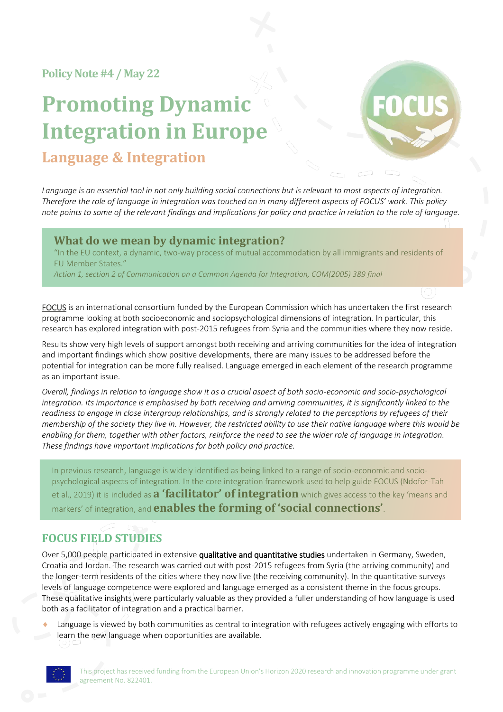**Policy Note#4 / May 22**

# **Promoting Dynamic Integration in Europe Language & Integration**



Language is an essential tool in not only building social connections but is relevant to most aspects of integration. *Therefore the role of language in integration was touched on in many different aspects of FOCUS' work. This policy note points to some of the relevant findings and implications for policy and practice in relation to the role of language.*

### **What do we mean by dynamic integration?**

"In the EU context, a dynamic, two-way process of mutual accommodation by all immigrants and residents of EU Member States."

*Action 1, section 2 of Communication on a Common Agenda for Integration, COM(2005) 389 final*

FOCUS is an international consortium funded by the European Commission which has undertaken the first research programme looking at both socioeconomic and sociopsychological dimensions of integration. In particular, this research has explored integration with post-2015 refugees from Syria and the communities where they now reside.

Results show very high levels of support amongst both receiving and arriving communities for the idea of integration and important findings which show positive developments, there are many issues to be addressed before the potential for integration can be more fully realised. Language emerged in each element of the research programme as an important issue.

*Overall, findings in relation to language show it as a crucial aspect of both socio-economic and socio-psychological integration. Its importance is emphasised by both receiving and arriving communities, it is significantly linked to the readiness to engage in close intergroup relationships, and is strongly related to the perceptions by refugees of their membership of the society they live in. However, the restricted ability to use their native language where this would be enabling for them, together with other factors, reinforce the need to see the wider role of language in integration. These findings have important implications for both policy and practice.*

In previous research, language is widely identified as being linked to a range of socio-economic and sociopsychological aspects of integration. In the core integration framework used to help guide FOCUS (Ndofor-Tah et al., 2019) it is included as **a 'facilitator' of integration** which gives access to the key 'means and markers' of integration, and **enables the forming of 'social connections'**.

# **FOCUS FIELD STUDIES**

Over 5,000 people participated in extensive qualitative and quantitative studies undertaken in Germany, Sweden, Croatia and Jordan. The research was carried out with post-2015 refugees from Syria (the arriving community) and the longer-term residents of the cities where they now live (the receiving community). In the quantitative surveys levels of language competence were explored and language emerged as a consistent theme in the focus groups. These qualitative insights were particularly valuable as they provided a fuller understanding of how language is used both as a facilitator of integration and a practical barrier.

 Language is viewed by both communities as central to integration with refugees actively engaging with efforts to learn the new language when opportunities are available.

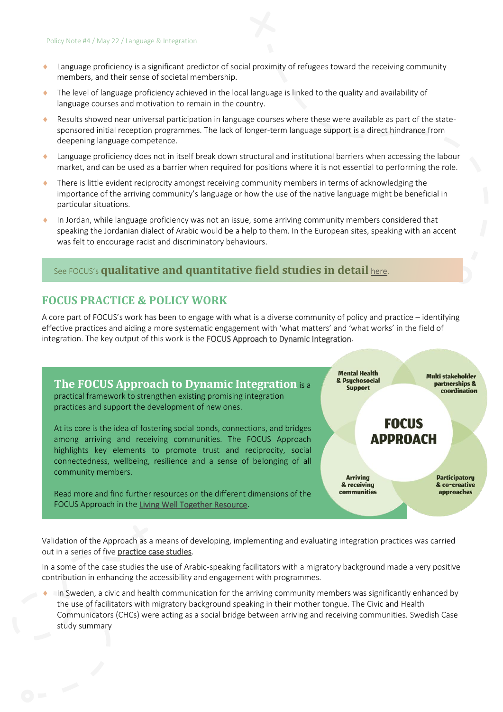- Language proficiency is a significant predictor of social proximity of refugees toward the receiving community members, and their sense of societal membership.
- The level of language proficiency achieved in the local language is linked to the quality and availability of language courses and motivation to remain in the country.
- Results showed near universal participation in language courses where these were available as part of the statesponsored initial reception programmes. The lack of longer-term language support is a direct hindrance from deepening language competence.
- Language proficiency does not in itself break down structural and institutional barriers when accessing the labour market, and can be used as a barrier when required for positions where it is not essential to performing the role.
- There is little evident reciprocity amongst receiving community members in terms of acknowledging the importance of the arriving community's language or how the use of the native language might be beneficial in particular situations.
- In Jordan, while language proficiency was not an issue, some arriving community members considered that speaking the Jordanian dialect of Arabic would be a help to them. In the European sites, speaking with an accent was felt to encourage racist and discriminatory behaviours.

## See FOCUS's **qualitative and quantitative field studies in detail** [here.](http://www.focus-refugees.eu/results)

## **FOCUS PRACTICE & POLICY WORK**

A core part of FOCUS's work has been to engage with what is a diverse community of policy and practice – identifying effective practices and aiding a more systematic engagement with 'what matters' and 'what works' in the field of integration. The key output of this work is th[e FOCUS Approach to Dynamic Integration.](https://www.focus-refugees.eu/resource/#approach)

**The FOCUS Approach to Dynamic Integration** is a practical framework to strengthen existing promising integration practices and support the development of new ones.

At its core is the idea of fostering social bonds, connections, and bridges among arriving and receiving communities. The FOCUS Approach highlights key elements to promote trust and reciprocity, social connectedness, wellbeing, resilience and a sense of belonging of all community members.

Read more and find further resources on the different dimensions of the FOCUS Approach in the [Living Well Together Resource.](http://www.focus-refugees.eu/resource/)

**Mental Health & Psuchosocial Support** 

**Multi stakeholder** partnerships & coordination

# **FOCUS APPROACH**

**Arrivina** & receiving communities **Participatoru** & co-creative approaches

Validation of the Approach as a means of developing, implementing and evaluating integration practices was carried out in a series of five [practice case studies.](https://www.focus-refugees.eu/resource/#casestudies)

In a some of the case studies the use of Arabic-speaking facilitators with a migratory background made a very positive contribution in enhancing the accessibility and engagement with programmes.

 In Sweden, a civic and health communication for the arriving community members was significantly enhanced by the use of facilitators with migratory background speaking in their mother tongue. The Civic and Health Communicators (CHCs) were acting as a social bridge between arriving and receiving communities. [Swedish Case](chrome-extension://efaidnbmnnnibpcajpcglclefindmkaj/https:/www.focus-refugees.eu/wp-content/uploads/FOCUS_Case-study-4_LAN_summary_Feb22.pdf)  [study summary](chrome-extension://efaidnbmnnnibpcajpcglclefindmkaj/https:/www.focus-refugees.eu/wp-content/uploads/FOCUS_Case-study-4_LAN_summary_Feb22.pdf)